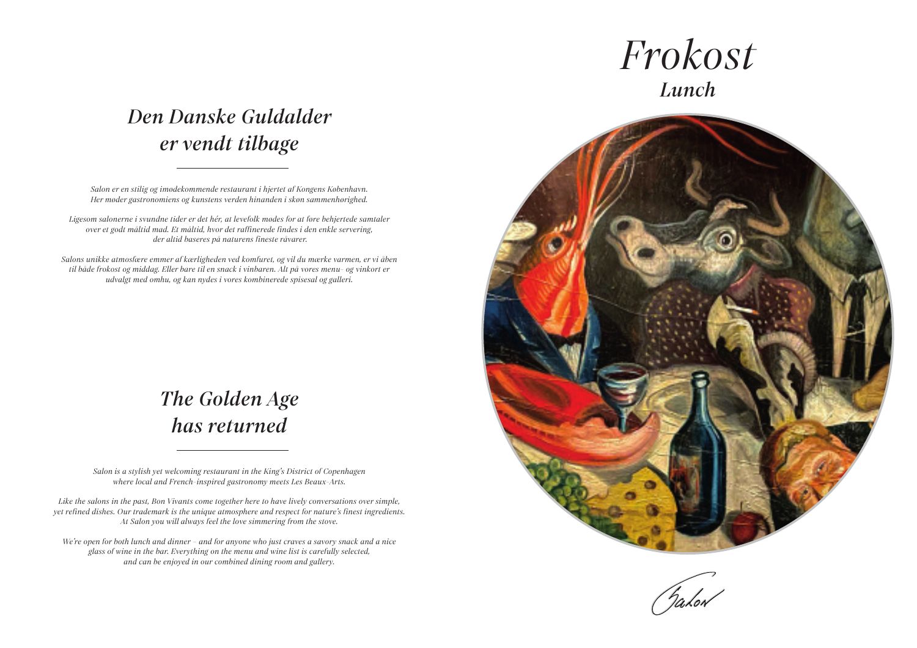## *The Golden Age has returned*

## *Den Danske Guldalder er vendt tilbage*

*Salon is a stylish yet welcoming restaurant in the King's District of Copenhagen where local and French-inspired gastronomy meets Les Beaux-Arts.*

*Like the salons in the past, Bon Vivants come together here to have lively conversations over simple, yet refined dishes. Our trademark is the unique atmosphere and respect for nature's finest ingredients. At Salon you will always feel the love simmering from the stove.*

*We're open for both lunch and dinner – and for anyone who just craves a savory snack and a nice glass of wine in the bar. Everything on the menu and wine list is carefully selected, and can be enjoyed in our combined dining room and gallery.*





*Salon er en stilig og imødekommende restaurant i hjertet af Kongens København. Her møder gastronomiens og kunstens verden hinanden i skøn sammenhørighed.*

*Ligesom salonerne i svundne tider er det hér, at levefolk mødes for at føre behjertede samtaler over et godt måltid mad. Et måltid, hvor det raffinerede findes i den enkle servering, der altid baseres på naturens fineste råvarer.* 

*Salons unikke atmosfære emmer af kærligheden ved komfuret, og vil du mærke varmen, er vi åben til både frokost og middag. Eller bare til en snack i vinbaren. Alt på vores menu- og vinkort er udvalgt med omhu, og kan nydes i vores kombinerede spisesal og galleri.*

# *Frokost Lunch*